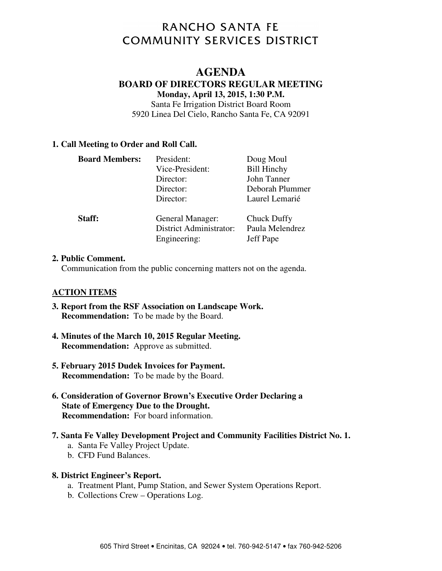# RANCHO SANTA FE **COMMUNITY SERVICES DISTRICT**

# **AGENDA**

#### **BOARD OF DIRECTORS REGULAR MEETING**

**Monday, April 13, 2015, 1:30 P.M.**

Santa Fe Irrigation District Board Room 5920 Linea Del Cielo, Rancho Santa Fe, CA 92091

#### **1. Call Meeting to Order and Roll Call.**

| <b>Board Members:</b> | President:<br>Vice-President:<br>Director:<br>Director:<br>Director: | Doug Moul<br><b>Bill Hinchy</b><br>John Tanner<br>Deborah Plummer<br>Laurel Lemarié |
|-----------------------|----------------------------------------------------------------------|-------------------------------------------------------------------------------------|
| Staff:                | General Manager:<br><b>District Administrator:</b><br>Engineering:   | Chuck Duffy<br>Paula Melendrez<br>Jeff Pape                                         |

#### **2. Public Comment.**

Communication from the public concerning matters not on the agenda.

#### **ACTION ITEMS**

- **3. Report from the RSF Association on Landscape Work. Recommendation:** To be made by the Board.
- **4. Minutes of the March 10, 2015 Regular Meeting. Recommendation:** Approve as submitted.
- **5. February 2015 Dudek Invoices for Payment. Recommendation:** To be made by the Board.
- **6. Consideration of Governor Brown's Executive Order Declaring a State of Emergency Due to the Drought. Recommendation:** For board information.
- **7. Santa Fe Valley Development Project and Community Facilities District No. 1.**
	- a. Santa Fe Valley Project Update.
	- b. CFD Fund Balances.

#### **8. District Engineer's Report.**

- a. Treatment Plant, Pump Station, and Sewer System Operations Report.
- b. Collections Crew Operations Log.